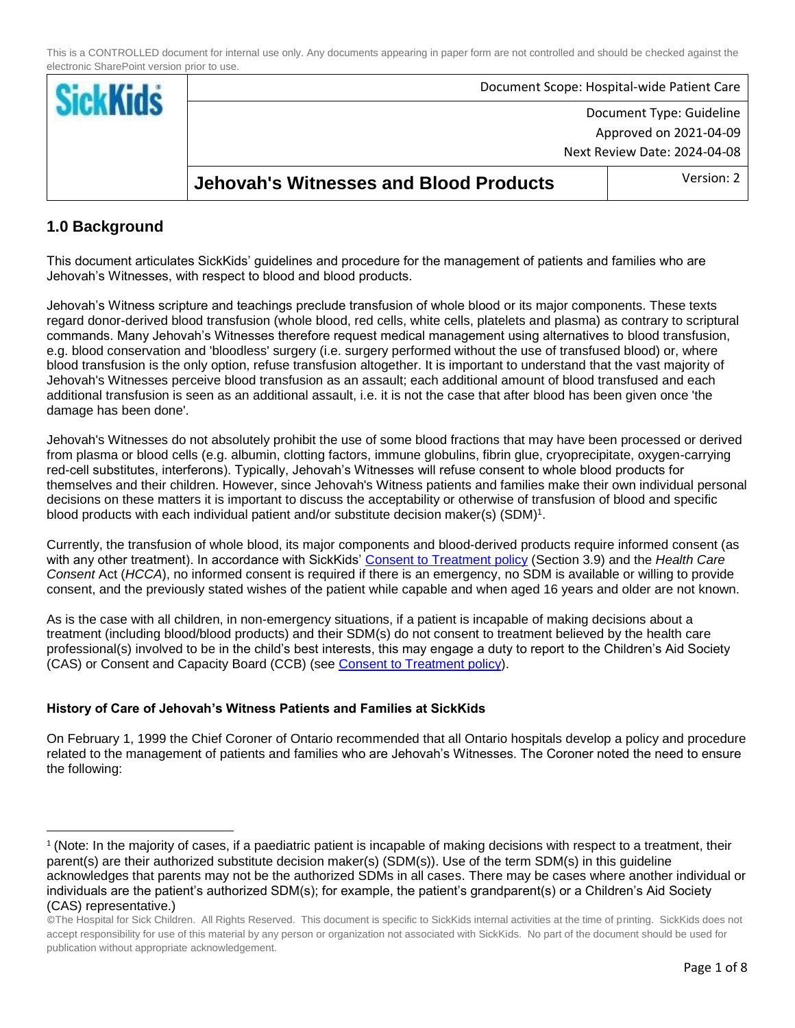| <b>Sickl</b> |                                               | Document Scope: Hospital-wide Patient Care |
|--------------|-----------------------------------------------|--------------------------------------------|
|              | Document Type: Guideline                      |                                            |
|              |                                               | Approved on 2021-04-09                     |
|              | Next Review Date: 2024-04-08                  |                                            |
|              | <b>Jehovah's Witnesses and Blood Products</b> | Version: 2                                 |

# **1.0 Background**

 $\overline{\phantom{a}}$ 

This document articulates SickKids' guidelines and procedure for the management of patients and families who are Jehovah's Witnesses, with respect to blood and blood products.

Jehovah's Witness scripture and teachings preclude transfusion of whole blood or its major components. These texts regard donor-derived blood transfusion (whole blood, red cells, white cells, platelets and plasma) as contrary to scriptural commands. Many Jehovah's Witnesses therefore request medical management using alternatives to blood transfusion, e.g. blood conservation and 'bloodless' surgery (i.e. surgery performed without the use of transfused blood) or, where blood transfusion is the only option, refuse transfusion altogether. It is important to understand that the vast majority of Jehovah's Witnesses perceive blood transfusion as an assault; each additional amount of blood transfused and each additional transfusion is seen as an additional assault, i.e. it is not the case that after blood has been given once 'the damage has been done'.

Jehovah's Witnesses do not absolutely prohibit the use of some blood fractions that may have been processed or derived from plasma or blood cells (e.g. albumin, clotting factors, immune globulins, fibrin glue, cryoprecipitate, oxygen-carrying red-cell substitutes, interferons). Typically, Jehovah's Witnesses will refuse consent to whole blood products for themselves and their children. However, since Jehovah's Witness patients and families make their own individual personal decisions on these matters it is important to discuss the acceptability or otherwise of transfusion of blood and specific blood products with each individual patient and/or substitute decision maker(s)  $(SDM)^1$ .

Currently, the transfusion of whole blood, its major components and blood-derived products require informed consent (as with any other treatment). In accordance with SickKids' [Consent to Treatment policy](http://policies.sickkids.ca/published/Published/clinh34/main%20document.pdf) (Section 3.9) and the *Health Care Consent* Act (*HCCA*), no informed consent is required if there is an emergency, no SDM is available or willing to provide consent, and the previously stated wishes of the patient while capable and when aged 16 years and older are not known.

As is the case with all children, in non-emergency situations, if a patient is incapable of making decisions about a treatment (including blood/blood products) and their SDM(s) do not consent to treatment believed by the health care professional(s) involved to be in the child's best interests, this may engage a duty to report to the Children's Aid Society (CAS) or Consent and Capacity Board (CCB) (see [Consent to Treatment policy\)](http://policies.sickkids.ca/published/Published/clinh34/main%20document.pdf).

## **History of Care of Jehovah's Witness Patients and Families at SickKids**

On February 1, 1999 the Chief Coroner of Ontario recommended that all Ontario hospitals develop a policy and procedure related to the management of patients and families who are Jehovah's Witnesses. The Coroner noted the need to ensure the following:

<sup>&</sup>lt;sup>1</sup> (Note: In the majority of cases, if a paediatric patient is incapable of making decisions with respect to a treatment, their parent(s) are their authorized substitute decision maker(s) (SDM(s)). Use of the term SDM(s) in this guideline acknowledges that parents may not be the authorized SDMs in all cases. There may be cases where another individual or individuals are the patient's authorized SDM(s); for example, the patient's grandparent(s) or a Children's Aid Society (CAS) representative.)

<sup>©</sup>The Hospital for Sick Children. All Rights Reserved. This document is specific to SickKids internal activities at the time of printing. SickKids does not accept responsibility for use of this material by any person or organization not associated with SickKids. No part of the document should be used for publication without appropriate acknowledgement.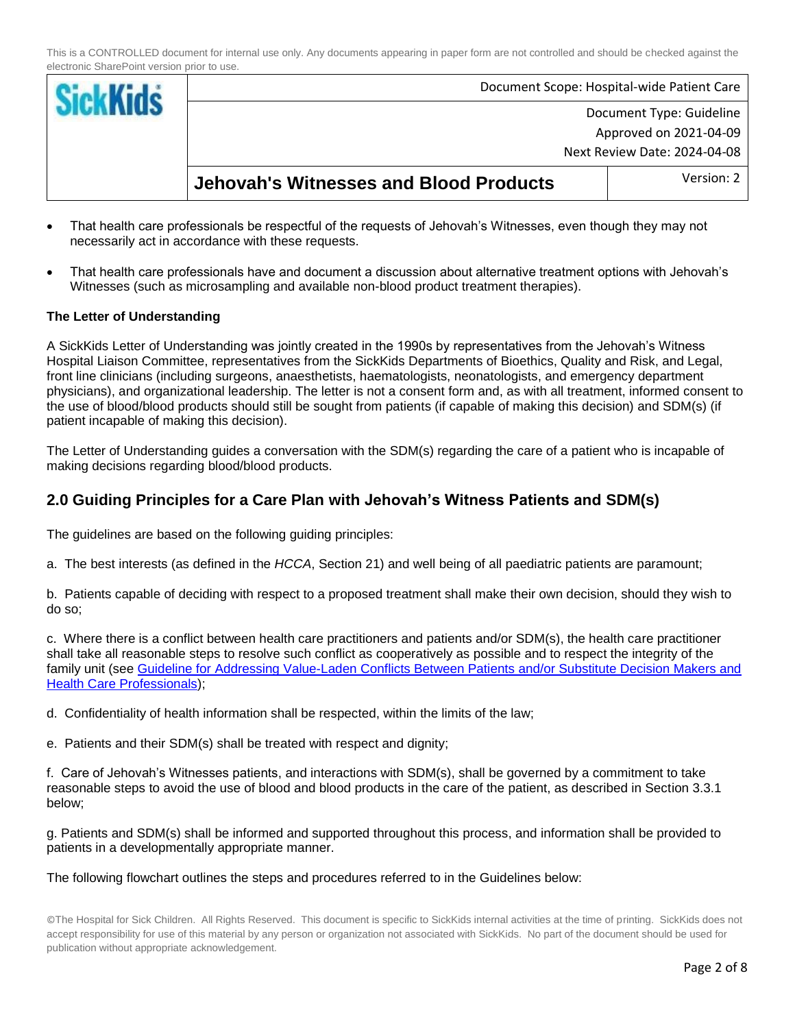| <b>SickKids</b> |                                               | Document Scope: Hospital-wide Patient Care |
|-----------------|-----------------------------------------------|--------------------------------------------|
|                 | Document Type: Guideline                      |                                            |
|                 | Approved on 2021-04-09                        |                                            |
|                 | Next Review Date: 2024-04-08                  |                                            |
|                 | <b>Jehovah's Witnesses and Blood Products</b> | Version: 2                                 |

- That health care professionals be respectful of the requests of Jehovah's Witnesses, even though they may not necessarily act in accordance with these requests.
- That health care professionals have and document a discussion about alternative treatment options with Jehovah's Witnesses (such as microsampling and available non-blood product treatment therapies).

#### **The Letter of Understanding**

A SickKids Letter of Understanding was jointly created in the 1990s by representatives from the Jehovah's Witness Hospital Liaison Committee, representatives from the SickKids Departments of Bioethics, Quality and Risk, and Legal, front line clinicians (including surgeons, anaesthetists, haematologists, neonatologists, and emergency department physicians), and organizational leadership. The letter is not a consent form and, as with all treatment, informed consent to the use of blood/blood products should still be sought from patients (if capable of making this decision) and SDM(s) (if patient incapable of making this decision).

The Letter of Understanding guides a conversation with the SDM(s) regarding the care of a patient who is incapable of making decisions regarding blood/blood products.

## **2.0 Guiding Principles for a Care Plan with Jehovah's Witness Patients and SDM(s)**

The guidelines are based on the following guiding principles:

a. The best interests (as defined in the *HCCA*, Section 21) and well being of all paediatric patients are paramount;

b. Patients capable of deciding with respect to a proposed treatment shall make their own decision, should they wish to do so;

c. Where there is a conflict between health care practitioners and patients and/or SDM(s), the health care practitioner shall take all reasonable steps to resolve such conflict as cooperatively as possible and to respect the integrity of the family unit (see [Guideline for Addressing Value-Laden Conflicts Between Patients and/or Substitute Decision Makers and](http://policies.sickkids.ca/published/Published/clinh31/main%20document.pdf)  [Health Care Professionals\)](http://policies.sickkids.ca/published/Published/clinh31/main%20document.pdf);

d. Confidentiality of health information shall be respected, within the limits of the law;

e. Patients and their SDM(s) shall be treated with respect and dignity;

f. Care of Jehovah's Witnesses patients, and interactions with SDM(s), shall be governed by a commitment to take reasonable steps to avoid the use of blood and blood products in the care of the patient, as described in Section 3.3.1 below;

g. Patients and SDM(s) shall be informed and supported throughout this process, and information shall be provided to patients in a developmentally appropriate manner.

The following flowchart outlines the steps and procedures referred to in the Guidelines below: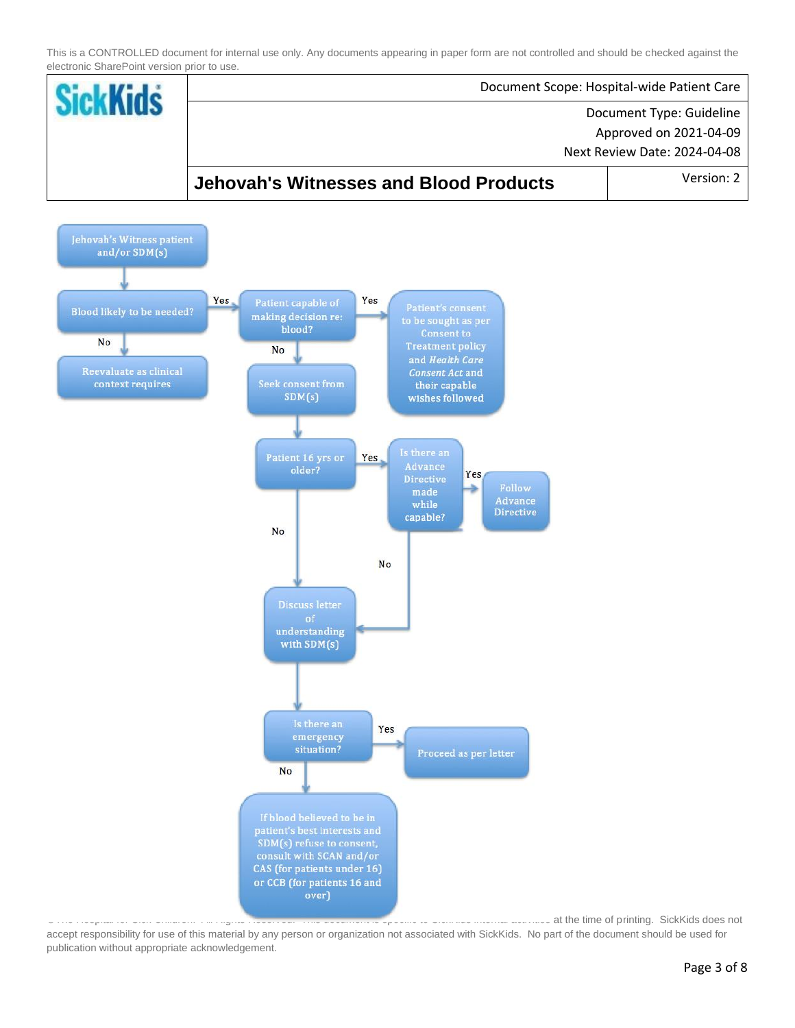

at the time of printing. SickKids does not accept responsibility for use of this material by any person or organization not associated with SickKids. No part of the document should be used for publication without appropriate acknowledgement.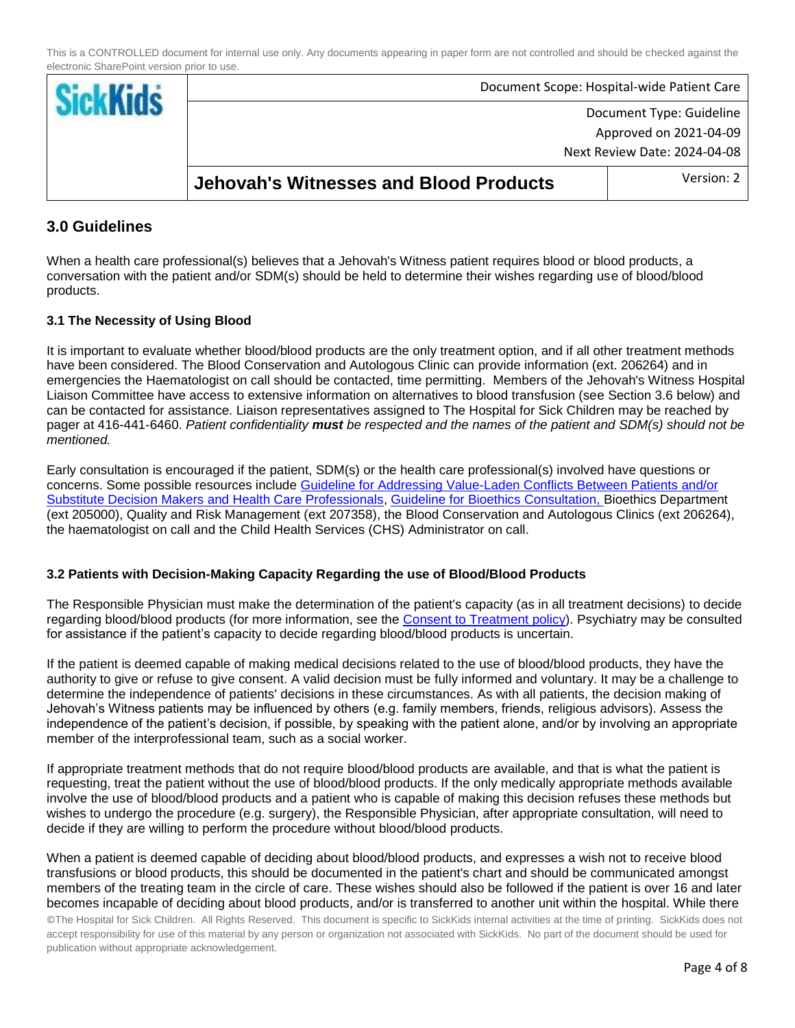|                                               | Document Scope: Hospital-wide Patient Care |
|-----------------------------------------------|--------------------------------------------|
| Document Type: Guideline                      |                                            |
|                                               | Approved on 2021-04-09                     |
|                                               | Next Review Date: 2024-04-08               |
| <b>Jehovah's Witnesses and Blood Products</b> | Version: 2                                 |

## **3.0 Guidelines**

When a health care professional(s) believes that a Jehovah's Witness patient requires blood or blood products, a conversation with the patient and/or SDM(s) should be held to determine their wishes regarding use of blood/blood products.

## **3.1 The Necessity of Using Blood**

It is important to evaluate whether blood/blood products are the only treatment option, and if all other treatment methods have been considered. The Blood Conservation and Autologous Clinic can provide information (ext. 206264) and in emergencies the Haematologist on call should be contacted, time permitting. Members of the Jehovah's Witness Hospital Liaison Committee have access to extensive information on alternatives to blood transfusion (see Section 3.6 below) and can be contacted for assistance. Liaison representatives assigned to The Hospital for Sick Children may be reached by pager at 416-441-6460. *Patient confidentiality must be respected and the names of the patient and SDM(s) should not be mentioned.*

Early consultation is encouraged if the patient, SDM(s) or the health care professional(s) involved have questions or concerns. Some possible resources include [Guideline for Addressing Value-Laden Conflicts Between Patients and/or](http://policies.sickkids.ca/published/Published/clinh31/main%20document.pdf)  [Substitute Decision Makers and Health Care Professionals,](http://policies.sickkids.ca/published/Published/clinh31/main%20document.pdf) [Guideline for Bioethics Consultation,](http://policies.sickkids.ca/published/Published/clinh35/main%20document.pdf) Bioethics Department (ext 205000), Quality and Risk Management (ext 207358), the Blood Conservation and Autologous Clinics (ext 206264), the haematologist on call and the Child Health Services (CHS) Administrator on call.

#### **3.2 Patients with Decision-Making Capacity Regarding the use of Blood/Blood Products**

The Responsible Physician must make the determination of the patient's capacity (as in all treatment decisions) to decide regarding blood/blood products (for more information, see the [Consent to Treatment policy\)](http://policies.sickkids.ca/published/Published/clinh34/main%20document.pdf). Psychiatry may be consulted for assistance if the patient's capacity to decide regarding blood/blood products is uncertain.

If the patient is deemed capable of making medical decisions related to the use of blood/blood products, they have the authority to give or refuse to give consent. A valid decision must be fully informed and voluntary. It may be a challenge to determine the independence of patients' decisions in these circumstances. As with all patients, the decision making of Jehovah's Witness patients may be influenced by others (e.g. family members, friends, religious advisors). Assess the independence of the patient's decision, if possible, by speaking with the patient alone, and/or by involving an appropriate member of the interprofessional team, such as a social worker.

If appropriate treatment methods that do not require blood/blood products are available, and that is what the patient is requesting, treat the patient without the use of blood/blood products. If the only medically appropriate methods available involve the use of blood/blood products and a patient who is capable of making this decision refuses these methods but wishes to undergo the procedure (e.g. surgery), the Responsible Physician, after appropriate consultation, will need to decide if they are willing to perform the procedure without blood/blood products.

When a patient is deemed capable of deciding about blood/blood products, and expresses a wish not to receive blood transfusions or blood products, this should be documented in the patient's chart and should be communicated amongst members of the treating team in the circle of care. These wishes should also be followed if the patient is over 16 and later becomes incapable of deciding about blood products, and/or is transferred to another unit within the hospital. While there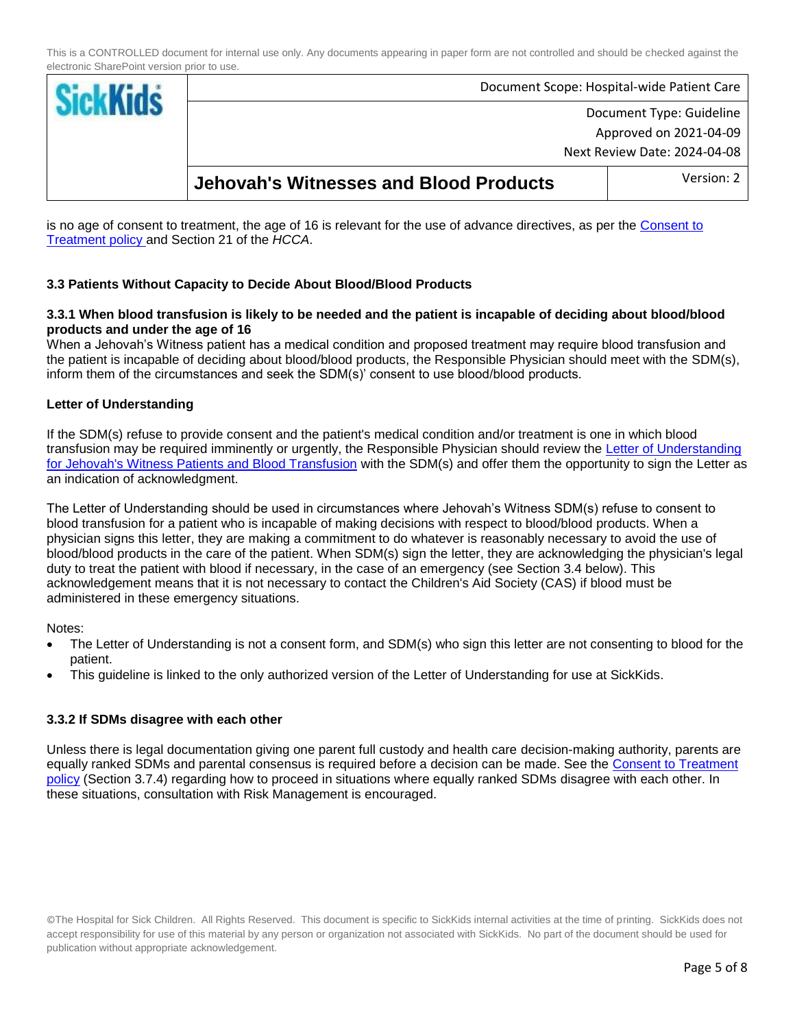| <b>Sickl</b> |                                               | Document Scope: Hospital-wide Patient Care |
|--------------|-----------------------------------------------|--------------------------------------------|
|              | Document Type: Guideline                      |                                            |
|              | Approved on 2021-04-09                        |                                            |
|              | Next Review Date: 2024-04-08                  |                                            |
|              | <b>Jehovah's Witnesses and Blood Products</b> | Version: 2                                 |

is no age of consent to treatment, the age of 16 is relevant for the use of advance directives, as per the [Consent to](http://policies.sickkids.ca/published/Published/clinh34/main%20document.pdf)  [Treatment policy](http://policies.sickkids.ca/published/Published/clinh34/main%20document.pdf) and Section 21 of the *HCCA*.

## **3.3 Patients Without Capacity to Decide About Blood/Blood Products**

#### **3.3.1 When blood transfusion is likely to be needed and the patient is incapable of deciding about blood/blood products and under the age of 16**

When a Jehovah's Witness patient has a medical condition and proposed treatment may require blood transfusion and the patient is incapable of deciding about blood/blood products, the Responsible Physician should meet with the SDM(s), inform them of the circumstances and seek the SDM(s)' consent to use blood/blood products.

### **Letter of Understanding**

If the SDM(s) refuse to provide consent and the patient's medical condition and/or treatment is one in which blood transfusion may be required imminently or urgently, the Responsible Physician should review the [Letter of Understanding](http://policies.sickkids.ca/published/Published/clinh36/jw%20letter%20of%20understanding%20(002).pdf)  [for Jehovah's Witness Patients and Blood Transfusion](http://policies.sickkids.ca/published/Published/clinh36/jw%20letter%20of%20understanding%20(002).pdf) with the SDM(s) and offer them the opportunity to sign the Letter as an indication of acknowledgment.

The Letter of Understanding should be used in circumstances where Jehovah's Witness SDM(s) refuse to consent to blood transfusion for a patient who is incapable of making decisions with respect to blood/blood products. When a physician signs this letter, they are making a commitment to do whatever is reasonably necessary to avoid the use of blood/blood products in the care of the patient. When SDM(s) sign the letter, they are acknowledging the physician's legal duty to treat the patient with blood if necessary, in the case of an emergency (see Section 3.4 below). This acknowledgement means that it is not necessary to contact the Children's Aid Society (CAS) if blood must be administered in these emergency situations.

Notes:

- The Letter of Understanding is not a consent form, and SDM(s) who sign this letter are not consenting to blood for the patient.
- This guideline is linked to the only authorized version of the Letter of Understanding for use at SickKids.

#### **3.3.2 If SDMs disagree with each other**

Unless there is legal documentation giving one parent full custody and health care decision-making authority, parents are equally ranked SDMs and parental consensus is required before a decision can be made. See the [Consent to Treatment](http://policies.sickkids.ca/published/Published/clinh34/main%20document.pdf)  [policy](http://policies.sickkids.ca/published/Published/clinh34/main%20document.pdf) (Section 3.7.4) regarding how to proceed in situations where equally ranked SDMs disagree with each other. In these situations, consultation with Risk Management is encouraged.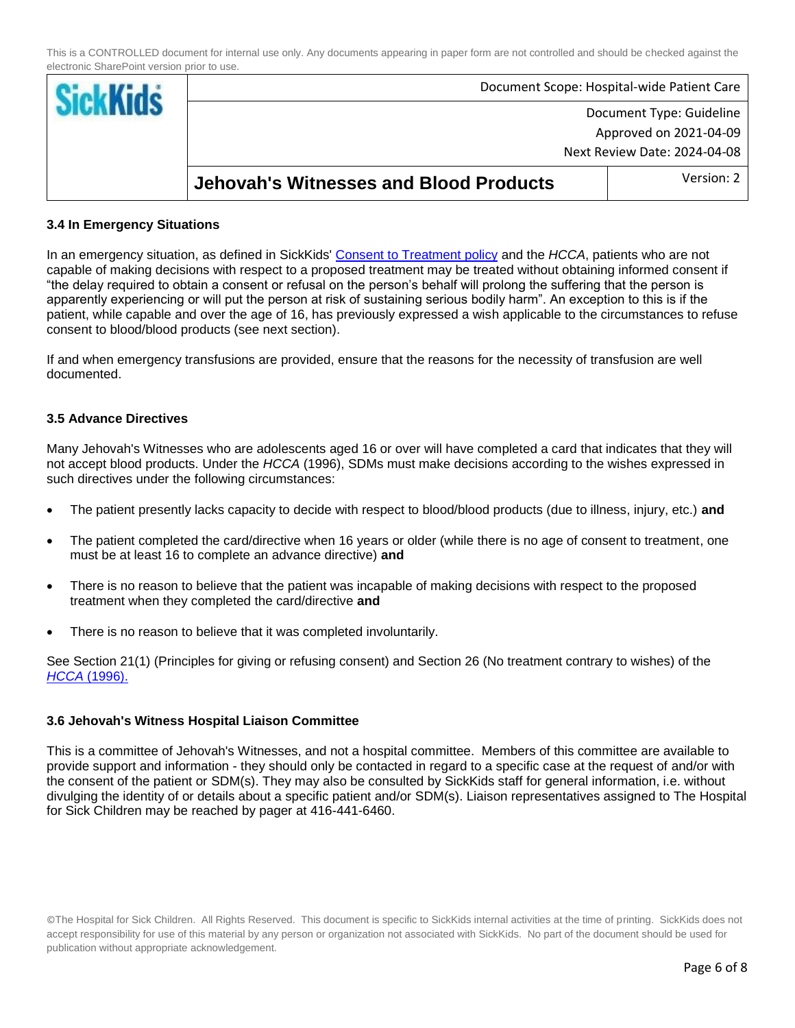|                                               | Document Scope: Hospital-wide Patient Care |
|-----------------------------------------------|--------------------------------------------|
| Document Type: Guideline                      |                                            |
|                                               | Approved on 2021-04-09                     |
| Next Review Date: 2024-04-08                  |                                            |
| <b>Jehovah's Witnesses and Blood Products</b> | Version: 2                                 |

#### **3.4 In Emergency Situations**

In an emergency situation, as defined in SickKids' [Consent to Treatment policy](http://policies.sickkids.ca/published/Published/clinh34/main%20document.pdf) and the *HCCA*, patients who are not capable of making decisions with respect to a proposed treatment may be treated without obtaining informed consent if "the delay required to obtain a consent or refusal on the person's behalf will prolong the suffering that the person is apparently experiencing or will put the person at risk of sustaining serious bodily harm". An exception to this is if the patient, while capable and over the age of 16, has previously expressed a wish applicable to the circumstances to refuse consent to blood/blood products (see next section).

If and when emergency transfusions are provided, ensure that the reasons for the necessity of transfusion are well documented.

#### **3.5 Advance Directives**

Many Jehovah's Witnesses who are adolescents aged 16 or over will have completed a card that indicates that they will not accept blood products. Under the *HCCA* (1996), SDMs must make decisions according to the wishes expressed in such directives under the following circumstances:

- The patient presently lacks capacity to decide with respect to blood/blood products (due to illness, injury, etc.) **and**
- The patient completed the card/directive when 16 years or older (while there is no age of consent to treatment, one must be at least 16 to complete an advance directive) **and**
- There is no reason to believe that the patient was incapable of making decisions with respect to the proposed treatment when they completed the card/directive **and**
- There is no reason to believe that it was completed involuntarily.

See Section 21(1) (Principles for giving or refusing consent) and Section 26 (No treatment contrary to wishes) of the *HCCA* [\(1996\).](https://www.ontario.ca/laws/statute/96h02)

#### **3.6 Jehovah's Witness Hospital Liaison Committee**

This is a committee of Jehovah's Witnesses, and not a hospital committee. Members of this committee are available to provide support and information - they should only be contacted in regard to a specific case at the request of and/or with the consent of the patient or SDM(s). They may also be consulted by SickKids staff for general information, i.e. without divulging the identity of or details about a specific patient and/or SDM(s). Liaison representatives assigned to The Hospital for Sick Children may be reached by pager at 416-441-6460.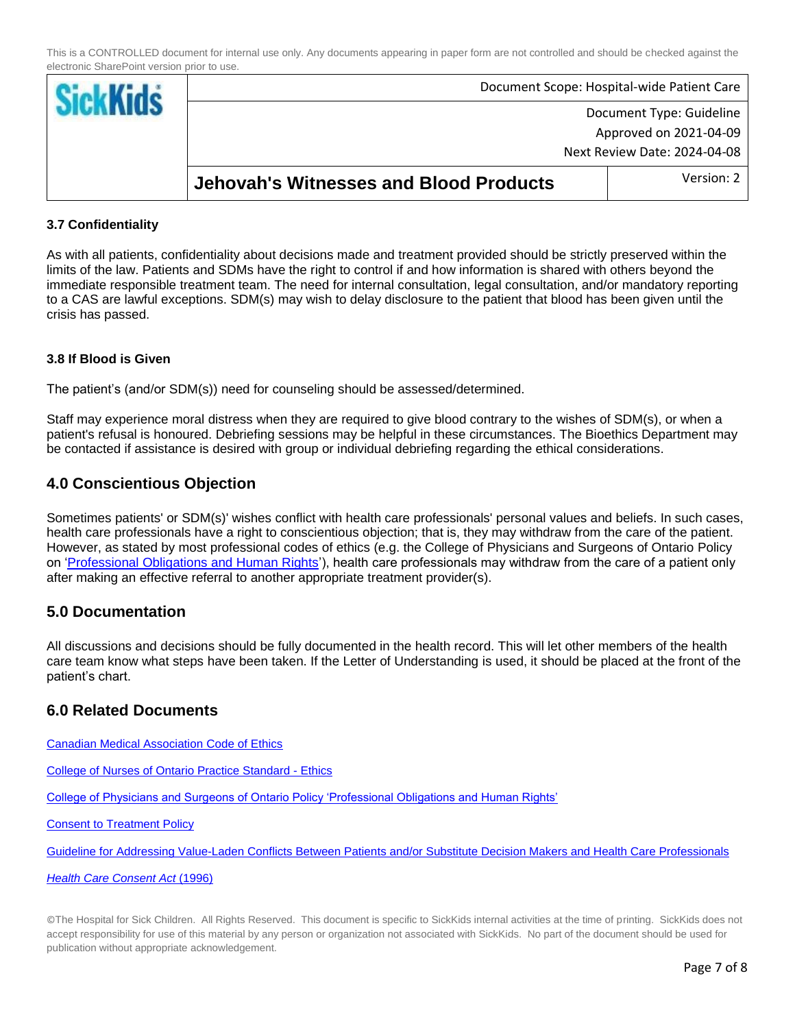| <b>Sickl</b> |                                               | Document Scope: Hospital-wide Patient Care |
|--------------|-----------------------------------------------|--------------------------------------------|
|              |                                               | Document Type: Guideline                   |
|              |                                               | Approved on 2021-04-09                     |
|              | Next Review Date: 2024-04-08                  |                                            |
|              | <b>Jehovah's Witnesses and Blood Products</b> | Version: 2                                 |

### **3.7 Confidentiality**

As with all patients, confidentiality about decisions made and treatment provided should be strictly preserved within the limits of the law. Patients and SDMs have the right to control if and how information is shared with others beyond the immediate responsible treatment team. The need for internal consultation, legal consultation, and/or mandatory reporting to a CAS are lawful exceptions. SDM(s) may wish to delay disclosure to the patient that blood has been given until the crisis has passed.

#### **3.8 If Blood is Given**

The patient's (and/or SDM(s)) need for counseling should be assessed/determined.

Staff may experience moral distress when they are required to give blood contrary to the wishes of SDM(s), or when a patient's refusal is honoured. Debriefing sessions may be helpful in these circumstances. The Bioethics Department may be contacted if assistance is desired with group or individual debriefing regarding the ethical considerations.

## **4.0 Conscientious Objection**

Sometimes patients' or SDM(s)' wishes conflict with health care professionals' personal values and beliefs. In such cases, health care professionals have a right to conscientious objection; that is, they may withdraw from the care of the patient. However, as stated by most professional codes of ethics (e.g. the College of Physicians and Surgeons of Ontario Policy on ['Professional Obligations and Human Rights'\)](https://www.cpso.on.ca/physicians/policies-guidance/policies/professional-obligations-and-human-rights), health care professionals may withdraw from the care of a patient only after making an effective referral to another appropriate treatment provider(s).

## **5.0 Documentation**

All discussions and decisions should be fully documented in the health record. This will let other members of the health care team know what steps have been taken. If the Letter of Understanding is used, it should be placed at the front of the patient's chart.

## **6.0 Related Documents**

[Canadian Medical Association Code of Ethics](https://www.cma.ca/cma-code-ethics-and-professionalism) 

[College of Nurses of Ontario Practice Standard -](http://www.cno.org/docs/prac/41034_ethics.pdf) Ethics

[College of Physicians and Surgeons of Ontario Policy 'Professional Obligations and Human Rights'](https://www.cpso.on.ca/physicians/policies-guidance/policies/professional-obligations-and-human-rights)

**[Consent to Treatment Policy](http://policies.sickkids.ca/published/Published/clinh34/main%20document.pdf)** 

[Guideline for Addressing Value-Laden Conflicts Between Patients and/or Substitute Decision Makers and Health Care Professionals](http://policies.sickkids.ca/published/Published/clinh31/main%20document.pdf)

*[Health Care Consent Act](http://www.e-laws.gov.on.ca/html/statutes/english/elaws_statutes_96h02_e.htm)* (1996)